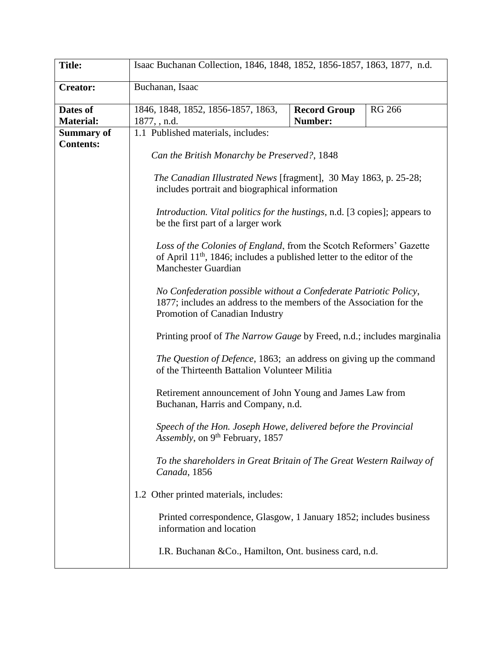| <b>Title:</b>     | Isaac Buchanan Collection, 1846, 1848, 1852, 1856-1857, 1863, 1877, n.d.                                                                                                                                                                                                                                                                                                                                      |                     |               |  |  |
|-------------------|---------------------------------------------------------------------------------------------------------------------------------------------------------------------------------------------------------------------------------------------------------------------------------------------------------------------------------------------------------------------------------------------------------------|---------------------|---------------|--|--|
| <b>Creator:</b>   | Buchanan, Isaac                                                                                                                                                                                                                                                                                                                                                                                               |                     |               |  |  |
| Dates of          | 1846, 1848, 1852, 1856-1857, 1863,                                                                                                                                                                                                                                                                                                                                                                            | <b>Record Group</b> | <b>RG 266</b> |  |  |
| <b>Material:</b>  | 1877, , n.d.                                                                                                                                                                                                                                                                                                                                                                                                  | Number:             |               |  |  |
| <b>Summary of</b> | 1.1 Published materials, includes:                                                                                                                                                                                                                                                                                                                                                                            |                     |               |  |  |
| <b>Contents:</b>  |                                                                                                                                                                                                                                                                                                                                                                                                               |                     |               |  |  |
|                   | Can the British Monarchy be Preserved?, 1848                                                                                                                                                                                                                                                                                                                                                                  |                     |               |  |  |
|                   | The Canadian Illustrated News [fragment], 30 May 1863, p. 25-28;<br>includes portrait and biographical information                                                                                                                                                                                                                                                                                            |                     |               |  |  |
|                   | <i>Introduction. Vital politics for the hustings, n.d.</i> [3 copies]; appears to<br>be the first part of a larger work                                                                                                                                                                                                                                                                                       |                     |               |  |  |
|                   | Loss of the Colonies of England, from the Scotch Reformers' Gazette<br>of April $11th$ , 1846; includes a published letter to the editor of the<br><b>Manchester Guardian</b>                                                                                                                                                                                                                                 |                     |               |  |  |
|                   | No Confederation possible without a Confederate Patriotic Policy,<br>1877; includes an address to the members of the Association for the<br>Promotion of Canadian Industry                                                                                                                                                                                                                                    |                     |               |  |  |
|                   | Printing proof of <i>The Narrow Gauge</i> by Freed, n.d.; includes marginalia                                                                                                                                                                                                                                                                                                                                 |                     |               |  |  |
|                   | The Question of Defence, 1863; an address on giving up the command<br>of the Thirteenth Battalion Volunteer Militia                                                                                                                                                                                                                                                                                           |                     |               |  |  |
|                   | Retirement announcement of John Young and James Law from<br>Buchanan, Harris and Company, n.d.                                                                                                                                                                                                                                                                                                                |                     |               |  |  |
|                   | Speech of the Hon. Joseph Howe, delivered before the Provincial<br>Assembly, on 9 <sup>th</sup> February, 1857<br>To the shareholders in Great Britain of The Great Western Railway of<br>Canada, 1856<br>1.2 Other printed materials, includes:<br>Printed correspondence, Glasgow, 1 January 1852; includes business<br>information and location<br>I.R. Buchanan & Co., Hamilton, Ont. business card, n.d. |                     |               |  |  |
|                   |                                                                                                                                                                                                                                                                                                                                                                                                               |                     |               |  |  |
|                   |                                                                                                                                                                                                                                                                                                                                                                                                               |                     |               |  |  |
|                   |                                                                                                                                                                                                                                                                                                                                                                                                               |                     |               |  |  |
|                   |                                                                                                                                                                                                                                                                                                                                                                                                               |                     |               |  |  |